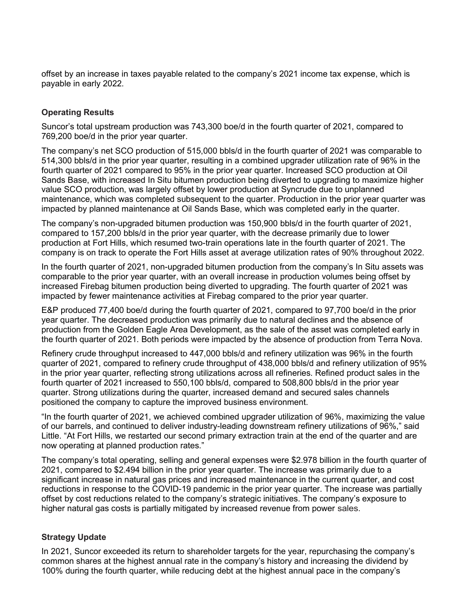offset by an increase in taxes payable related to the company's 2021 income tax expense, which is payable in early 2022.

# Operating Results

 Suncor's total upstream production was 743,300 boe/d in the fourth quarter of 2021, compared to 769,200 boe/d in the prior year quarter.

 The company's net SCO production of 515,000 bbls/d in the fourth quarter of 2021 was comparable to 514,300 bbls/d in the prior year quarter, resulting in a combined upgrader utilization rate of 96% in the fourth quarter of 2021 compared to 95% in the prior year quarter. Increased SCO production at Oil Sands Base, with increased In Situ bitumen production being diverted to upgrading to maximize higher value SCO production, was largely offset by lower production at Syncrude due to unplanned maintenance, which was completed subsequent to the quarter. Production in the prior year quarter was impacted by planned maintenance at Oil Sands Base, which was completed early in the quarter.

 The company's non-upgraded bitumen production was 150,900 bbls/d in the fourth quarter of 2021, compared to 157,200 bbls/d in the prior year quarter, with the decrease primarily due to lower production at Fort Hills, which resumed two-train operations late in the fourth quarter of 2021. The company is on track to operate the Fort Hills asset at average utilization rates of 90% throughout 2022.

 In the fourth quarter of 2021, non-upgraded bitumen production from the company's In Situ assets was comparable to the prior year quarter, with an overall increase in production volumes being offset by increased Firebag bitumen production being diverted to upgrading. The fourth quarter of 2021 was impacted by fewer maintenance activities at Firebag compared to the prior year quarter.

 E&P produced 77,400 boe/d during the fourth quarter of 2021, compared to 97,700 boe/d in the prior year quarter. The decreased production was primarily due to natural declines and the absence of production from the Golden Eagle Area Development, as the sale of the asset was completed early in the fourth quarter of 2021. Both periods were impacted by the absence of production from Terra Nova.

 Refinery crude throughput increased to 447,000 bbls/d and refinery utilization was 96% in the fourth quarter of 2021, compared to refinery crude throughput of 438,000 bbls/d and refinery utilization of 95% in the prior year quarter, reflecting strong utilizations across all refineries. Refined product sales in the fourth quarter of 2021 increased to 550,100 bbls/d, compared to 508,800 bbls/d in the prior year quarter. Strong utilizations during the quarter, increased demand and secured sales channels positioned the company to capture the improved business environment.

 "In the fourth quarter of 2021, we achieved combined upgrader utilization of 96%, maximizing the value of our barrels, and continued to deliver industry-leading downstream refinery utilizations of 96%," said Little. "At Fort Hills, we restarted our second primary extraction train at the end of the quarter and are now operating at planned production rates."

 The company's total operating, selling and general expenses were \$2.978 billion in the fourth quarter of 2021, compared to \$2.494 billion in the prior year quarter. The increase was primarily due to a significant increase in natural gas prices and increased maintenance in the current quarter, and cost reductions in response to the COVID-19 pandemic in the prior year quarter. The increase was partially offset by cost reductions related to the company's strategic initiatives. The company's exposure to higher natural gas costs is partially mitigated by increased revenue from power sales.

## Strategy Update

 In 2021, Suncor exceeded its return to shareholder targets for the year, repurchasing the company's common shares at the highest annual rate in the company's history and increasing the dividend by 100% during the fourth quarter, while reducing debt at the highest annual pace in the company's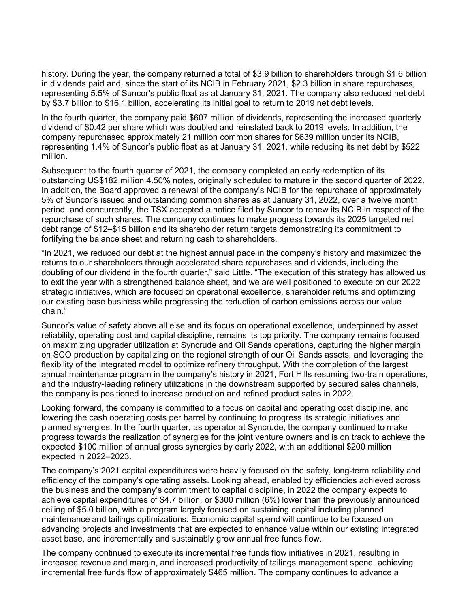history. During the year, the company returned a total of \$3.9 billion to shareholders through \$1.6 billion in dividends paid and, since the start of its NCIB in February 2021, \$2.3 billion in share repurchases, representing 5.5% of Suncor's public float as at January 31, 2021. The company also reduced net debt by \$3.7 billion to \$16.1 billion, accelerating its initial goal to return to 2019 net debt levels.

 In the fourth quarter, the company paid \$607 million of dividends, representing the increased quarterly dividend of \$0.42 per share which was doubled and reinstated back to 2019 levels. In addition, the company repurchased approximately 21 million common shares for \$639 million under its NCIB, representing 1.4% of Suncor's public float as at January 31, 2021, while reducing its net debt by \$522 million.

 Subsequent to the fourth quarter of 2021, the company completed an early redemption of its outstanding US\$182 million 4.50% notes, originally scheduled to mature in the second quarter of 2022. In addition, the Board approved a renewal of the company's NCIB for the repurchase of approximately 5% of Suncor's issued and outstanding common shares as at January 31, 2022, over a twelve month period, and concurrently, the TSX accepted a notice filed by Suncor to renew its NCIB in respect of the repurchase of such shares. The company continues to make progress towards its 2025 targeted net debt range of \$12–\$15 billion and its shareholder return targets demonstrating its commitment to fortifying the balance sheet and returning cash to shareholders.

 "In 2021, we reduced our debt at the highest annual pace in the company's history and maximized the returns to our shareholders through accelerated share repurchases and dividends, including the doubling of our dividend in the fourth quarter," said Little. "The execution of this strategy has allowed us to exit the year with a strengthened balance sheet, and we are well positioned to execute on our 2022 strategic initiatives, which are focused on operational excellence, shareholder returns and optimizing our existing base business while progressing the reduction of carbon emissions across our value chain."

 Suncor's value of safety above all else and its focus on operational excellence, underpinned by asset reliability, operating cost and capital discipline, remains its top priority. The company remains focused on maximizing upgrader utilization at Syncrude and Oil Sands operations, capturing the higher margin on SCO production by capitalizing on the regional strength of our Oil Sands assets, and leveraging the flexibility of the integrated model to optimize refinery throughput. With the completion of the largest annual maintenance program in the company's history in 2021, Fort Hills resuming two-train operations, and the industry-leading refinery utilizations in the downstream supported by secured sales channels, the company is positioned to increase production and refined product sales in 2022.

 Looking forward, the company is committed to a focus on capital and operating cost discipline, and lowering the cash operating costs per barrel by continuing to progress its strategic initiatives and planned synergies. In the fourth quarter, as operator at Syncrude, the company continued to make progress towards the realization of synergies for the joint venture owners and is on track to achieve the expected \$100 million of annual gross synergies by early 2022, with an additional \$200 million expected in 2022–2023.

 The company's 2021 capital expenditures were heavily focused on the safety, long-term reliability and efficiency of the company's operating assets. Looking ahead, enabled by efficiencies achieved across the business and the company's commitment to capital discipline, in 2022 the company expects to achieve capital expenditures of \$4.7 billion, or \$300 million (6%) lower than the previously announced ceiling of \$5.0 billion, with a program largely focused on sustaining capital including planned maintenance and tailings optimizations. Economic capital spend will continue to be focused on advancing projects and investments that are expected to enhance value within our existing integrated asset base, and incrementally and sustainably grow annual free funds flow.

 The company continued to execute its incremental free funds flow initiatives in 2021, resulting in increased revenue and margin, and increased productivity of tailings management spend, achieving incremental free funds flow of approximately \$465 million. The company continues to advance a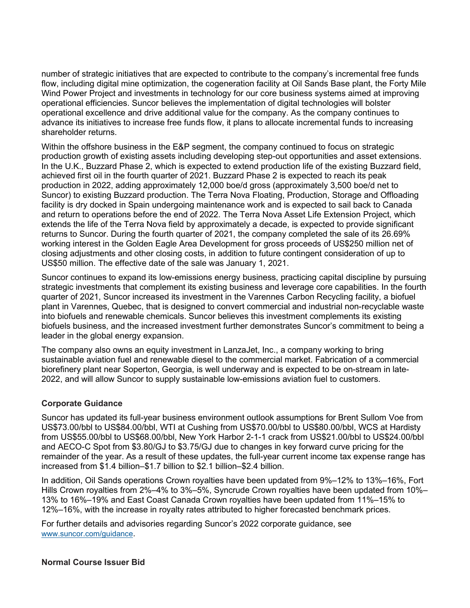number of strategic initiatives that are expected to contribute to the company's incremental free funds flow, including digital mine optimization, the cogeneration facility at Oil Sands Base plant, the Forty Mile Wind Power Project and investments in technology for our core business systems aimed at improving operational efficiencies. Suncor believes the implementation of digital technologies will bolster operational excellence and drive additional value for the company. As the company continues to advance its initiatives to increase free funds flow, it plans to allocate incremental funds to increasing shareholder returns.

 Within the offshore business in the E&P segment, the company continued to focus on strategic production growth of existing assets including developing step-out opportunities and asset extensions. In the U.K., Buzzard Phase 2, which is expected to extend production life of the existing Buzzard field, achieved first oil in the fourth quarter of 2021. Buzzard Phase 2 is expected to reach its peak production in 2022, adding approximately 12,000 boe/d gross (approximately 3,500 boe/d net to Suncor) to existing Buzzard production. The Terra Nova Floating, Production, Storage and Offloading facility is dry docked in Spain undergoing maintenance work and is expected to sail back to Canada and return to operations before the end of 2022. The Terra Nova Asset Life Extension Project, which extends the life of the Terra Nova field by approximately a decade, is expected to provide significant returns to Suncor. During the fourth quarter of 2021, the company completed the sale of its 26.69% working interest in the Golden Eagle Area Development for gross proceeds of US\$250 million net of closing adjustments and other closing costs, in addition to future contingent consideration of up to US\$50 million. The effective date of the sale was January 1, 2021.

 Suncor continues to expand its low-emissions energy business, practicing capital discipline by pursuing strategic investments that complement its existing business and leverage core capabilities. In the fourth quarter of 2021, Suncor increased its investment in the Varennes Carbon Recycling facility, a biofuel plant in Varennes, Quebec, that is designed to convert commercial and industrial non-recyclable waste into biofuels and renewable chemicals. Suncor believes this investment complements its existing biofuels business, and the increased investment further demonstrates Suncor's commitment to being a leader in the global energy expansion.

 The company also owns an equity investment in LanzaJet, Inc., a company working to bring sustainable aviation fuel and renewable diesel to the commercial market. Fabrication of a commercial biorefinery plant near Soperton, Georgia, is well underway and is expected to be on-stream in late-2022, and will allow Suncor to supply sustainable low-emissions aviation fuel to customers.

## Corporate Guidance

 Suncor has updated its full-year business environment outlook assumptions for Brent Sullom Voe from US\$73.00/bbl to US\$84.00/bbl, WTI at Cushing from US\$70.00/bbl to US\$80.00/bbl, WCS at Hardisty from US\$55.00/bbl to US\$68.00/bbl, New York Harbor 2-1-1 crack from US\$21.00/bbl to US\$24.00/bbl and AECO-C Spot from \$3.80/GJ to \$3.75/GJ due to changes in key forward curve pricing for the remainder of the year. As a result of these updates, the full-year current income tax expense range has increased from \$1.4 billion–\$1.7 billion to \$2.1 billion–\$2.4 billion.

 In addition, Oil Sands operations Crown royalties have been updated from 9%–12% to 13%–16%, Fort Hills Crown royalties from 2%–4% to 3%–5%, Syncrude Crown royalties have been updated from 10%– 13% to 16%–19% and East Coast Canada Crown royalties have been updated from 11%–15% to 12%–16%, with the increase in royalty rates attributed to higher forecasted benchmark prices.

 For further details and advisories regarding Suncor's 2022 corporate guidance, see <www.suncor.com/guidance>.

### Normal Course Issuer Bid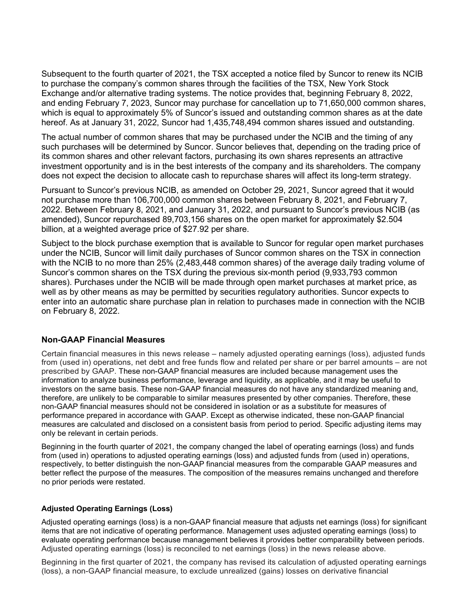Subsequent to the fourth quarter of 2021, the TSX accepted a notice filed by Suncor to renew its NCIB to purchase the company's common shares through the facilities of the TSX, New York Stock Exchange and/or alternative trading systems. The notice provides that, beginning February 8, 2022, and ending February 7, 2023, Suncor may purchase for cancellation up to 71,650,000 common shares, which is equal to approximately 5% of Suncor's issued and outstanding common shares as at the date hereof. As at January 31, 2022, Suncor had 1,435,748,494 common shares issued and outstanding.

 The actual number of common shares that may be purchased under the NCIB and the timing of any such purchases will be determined by Suncor. Suncor believes that, depending on the trading price of its common shares and other relevant factors, purchasing its own shares represents an attractive investment opportunity and is in the best interests of the company and its shareholders. The company does not expect the decision to allocate cash to repurchase shares will affect its long-term strategy.

 Pursuant to Suncor's previous NCIB, as amended on October 29, 2021, Suncor agreed that it would not purchase more than 106,700,000 common shares between February 8, 2021, and February 7, 2022. Between February 8, 2021, and January 31, 2022, and pursuant to Suncor's previous NCIB (as amended), Suncor repurchased 89,703,156 shares on the open market for approximately \$2.504 billion, at a weighted average price of \$27.92 per share.

 Subject to the block purchase exemption that is available to Suncor for regular open market purchases under the NCIB, Suncor will limit daily purchases of Suncor common shares on the TSX in connection with the NCIB to no more than 25% (2,483,448 common shares) of the average daily trading volume of Suncor's common shares on the TSX during the previous six-month period (9,933,793 common shares). Purchases under the NCIB will be made through open market purchases at market price, as well as by other means as may be permitted by securities regulatory authorities. Suncor expects to enter into an automatic share purchase plan in relation to purchases made in connection with the NCIB on February 8, 2022.

### Non-GAAP Financial Measures

 Certain financial measures in this news release – namely adjusted operating earnings (loss), adjusted funds from (used in) operations, net debt and free funds flow and related per share or per barrel amounts – are not prescribed by GAAP. These non-GAAP financial measures are included because management uses the information to analyze business performance, leverage and liquidity, as applicable, and it may be useful to investors on the same basis. These non-GAAP financial measures do not have any standardized meaning and, therefore, are unlikely to be comparable to similar measures presented by other companies. Therefore, these non-GAAP financial measures should not be considered in isolation or as a substitute for measures of performance prepared in accordance with GAAP. Except as otherwise indicated, these non-GAAP financial measures are calculated and disclosed on a consistent basis from period to period. Specific adjusting items may only be relevant in certain periods.

 Beginning in the fourth quarter of 2021, the company changed the label of operating earnings (loss) and funds from (used in) operations to adjusted operating earnings (loss) and adjusted funds from (used in) operations, respectively, to better distinguish the non-GAAP financial measures from the comparable GAAP measures and better reflect the purpose of the measures. The composition of the measures remains unchanged and therefore no prior periods were restated.

#### Adjusted Operating Earnings (Loss)

 Adjusted operating earnings (loss) is a non-GAAP financial measure that adjusts net earnings (loss) for significant items that are not indicative of operating performance. Management uses adjusted operating earnings (loss) to evaluate operating performance because management believes it provides better comparability between periods. Adjusted operating earnings (loss) is reconciled to net earnings (loss) in the news release above.

 Beginning in the first quarter of 2021, the company has revised its calculation of adjusted operating earnings (loss), a non-GAAP financial measure, to exclude unrealized (gains) losses on derivative financial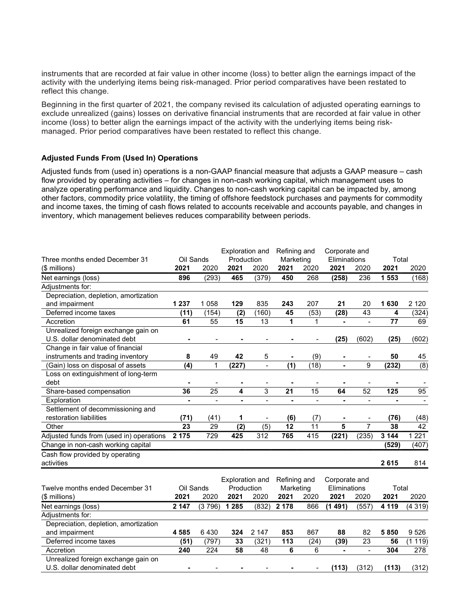instruments that are recorded at fair value in other income (loss) to better align the earnings impact of the activity with the underlying items being risk-managed. Prior period comparatives have been restated to reflect this change.

 Beginning in the first quarter of 2021, the company revised its calculation of adjusted operating earnings to exclude unrealized (gains) losses on derivative financial instruments that are recorded at fair value in other income (loss) to better align the earnings impact of the activity with the underlying items being risk-managed. Prior period comparatives have been restated to reflect this change.

### Adjusted Funds From (Used In) Operations

 Adjusted funds from (used in) operations is a non-GAAP financial measure that adjusts a GAAP measure – cash flow provided by operating activities – for changes in non-cash working capital, which management uses to analyze operating performance and liquidity. Changes to non-cash working capital can be impacted by, among other factors, commodity price volatility, the timing of offshore feedstock purchases and payments for commodity and income taxes, the timing of cash flows related to accounts receivable and accounts payable, and changes in inventory, which management believes reduces comparability between periods.

|                                          |                |                         | <b>Exploration and</b> |                              | Refining and    |                 | Corporate and  |                          |                |                  |
|------------------------------------------|----------------|-------------------------|------------------------|------------------------------|-----------------|-----------------|----------------|--------------------------|----------------|------------------|
| Three months ended December 31           | Oil Sands      |                         | Production             |                              | Marketing       |                 | Eliminations   |                          | Total          |                  |
| (\$ millions)                            | 2021           | 2020                    | 2021                   | 2020                         | 2021            | 2020            | 2021           | 2020                     | 2021           | 2020             |
| Net earnings (loss)                      | 896            | (293)                   | 465                    | (379)                        | 450             | 268             | (258)          | 236                      | 1 553          | (168)            |
| Adjustments for:                         |                |                         |                        |                              |                 |                 |                |                          |                |                  |
| Depreciation, depletion, amortization    |                |                         |                        |                              |                 |                 |                |                          |                |                  |
| and impairment                           | 1 2 3 7        | 1 0 5 8                 | 129                    | 835                          | 243             | 207             | 21             | 20                       | 1630           | 2 1 2 0          |
| Deferred income taxes                    | (11)           | (154)                   | (2)                    | (160)                        | 45              | (53)            | (28)           | 43                       | 4              | (324)            |
| Accretion                                | 61             | 55                      | 15                     | 13                           | 1               | 1               | $\blacksquare$ | $\blacksquare$           | 77             | 69               |
| Unrealized foreign exchange gain on      |                |                         |                        |                              |                 |                 |                |                          |                |                  |
| U.S. dollar denominated debt             | ٠              |                         |                        |                              |                 |                 | (25)           | (602)                    | (25)           | (602)            |
| Change in fair value of financial        |                |                         |                        |                              |                 |                 |                |                          |                |                  |
| instruments and trading inventory        | 8              | 49                      | 42                     | 5                            |                 | (9)             |                |                          | 50             | 45               |
| (Gain) loss on disposal of assets        | (4)            | 1                       | (227)                  | $\overline{a}$               | (1)             | (18)            | $\overline{a}$ | 9                        | (232)          | $\overline{(8)}$ |
| Loss on extinguishment of long-term      |                |                         |                        |                              |                 |                 |                |                          |                |                  |
| debt                                     | $\blacksquare$ |                         |                        |                              |                 |                 |                |                          |                |                  |
| Share-based compensation                 | 36             | $\overline{25}$         | 4                      | 3                            | $\overline{21}$ | $\overline{15}$ | 64             | $\overline{52}$          | 125            | 95               |
| Exploration                              | $\blacksquare$ | $\blacksquare$          | $\blacksquare$         | $\overline{a}$               | $\blacksquare$  | $\frac{1}{2}$   | $\blacksquare$ | $\overline{\phantom{a}}$ | $\blacksquare$ |                  |
| Settlement of decommissioning and        |                |                         |                        |                              |                 |                 |                |                          |                |                  |
| restoration liabilities                  | (71)           | (41)                    | 1                      | $\qquad \qquad \blacksquare$ | (6)             | (7)             | -              |                          | (76)           | (48)             |
| Other                                    | 23             | 29                      | (2)                    | (5)                          | 12              | 11              | 5              | 7                        | 38             | 42               |
| Adjusted funds from (used in) operations | 2 1 7 5        | 729                     | 425                    | 312                          | 765             | 415             | (221)          | (235)                    | 3 1 4 4        | 1 2 2 1          |
| Change in non-cash working capital       |                |                         |                        |                              |                 |                 |                |                          | (529)          | (407)            |
| Cash flow provided by operating          |                |                         |                        |                              |                 |                 |                |                          |                |                  |
| activities                               |                |                         |                        |                              |                 |                 |                |                          | 2615           | 814              |
|                                          |                |                         |                        |                              |                 |                 |                |                          |                |                  |
|                                          |                | <b>Exploration and</b>  |                        | Refining and                 |                 | Corporate and   |                |                          |                |                  |
| Twelve months ended December 31          |                | Oil Sands<br>Production |                        | Marketing                    |                 | Eliminations    |                | Total                    |                |                  |
| (\$ millions)                            | 2021           | 2020                    | 2021                   | 2020                         | 2021            | 2020            | 2021           | 2020                     | 2021           | 2020             |
| Net earnings (loss)                      | 2 1 4 7        | (3796)                  | 1 2 8 5                | (832)                        | 2 1 7 8         | 866             | (1491)         | (557)                    | 4 1 1 9        | (4319)           |
| Adjustments for:                         |                |                         |                        |                              |                 |                 |                |                          |                |                  |
| Depreciation, depletion, amortization    |                |                         |                        |                              |                 |                 |                |                          |                |                  |
| and impairment                           | 4585           | 6430                    | 324                    | 2 147                        | 853             | 867             | 88             | 82                       | 5850           | 9526             |
| Deferred income taxes                    | (51)           | (797)                   | 33                     | (321)                        | 113             | (24)            | (39)           | 23                       | 56             | (1119)           |
| Accretion                                | 240            | 224                     | 58                     | 48                           | 6               | 6               | $\blacksquare$ | $\overline{a}$           | 304            | 278              |
| Unrealized foreign exchange gain on      |                |                         |                        |                              |                 |                 |                |                          |                |                  |
| U.S. dollar denominated debt             |                |                         |                        |                              |                 |                 | (113)          | (312)                    | (113)          | (312)            |
|                                          |                |                         |                        |                              |                 |                 |                |                          |                |                  |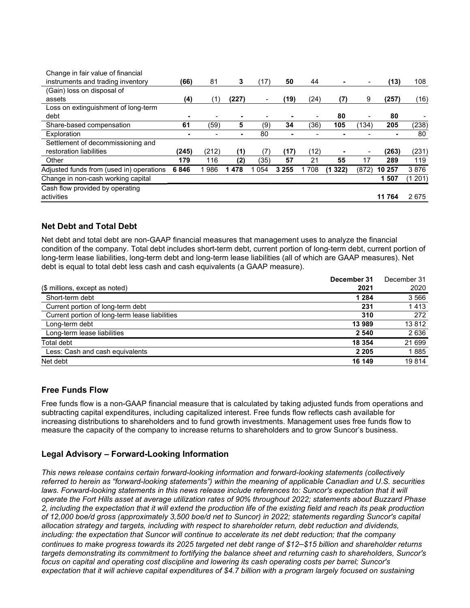| Change in fair value of financial        |       |       |       |         |         |      |             |                          |           |         |
|------------------------------------------|-------|-------|-------|---------|---------|------|-------------|--------------------------|-----------|---------|
| instruments and trading inventory        | (66)  | 81    | 3     | (17)    | 50      | 44   | ۰           | $\overline{\phantom{a}}$ | (13)      | 108     |
| (Gain) loss on disposal of               |       |       |       |         |         |      |             |                          |           |         |
| assets                                   | (4)   | (1)   | (227) | -       | (19)    | (24) | (7)         | 9                        | (257)     | (16)    |
| Loss on extinguishment of long-term      |       |       |       |         |         |      |             |                          |           |         |
| debt                                     | -     |       |       |         |         |      | 80          | -                        | 80        |         |
| Share-based compensation                 | 61    | (59)  | 5     | (9)     | 34      | (36) | 105         | (134)                    | 205       | (238)   |
| Exploration                              | -     |       |       | 80      |         |      |             |                          |           | 80      |
| Settlement of decommissioning and        |       |       |       |         |         |      |             |                          |           |         |
| restoration liabilities                  | (245) | (212) | (1)   | (7)     | (17)    | (12) |             |                          | (263)     | (231)   |
| Other                                    | 179   | 116   | (2)   | (35)    | 57      | 21   | 55          | 17                       | 289       | 119     |
| Adjusted funds from (used in) operations | 6846  | 986   | 478   | 1 0 5 4 | 3 2 5 5 | 708  | 322)<br>(1) | (872)                    | 10 257    | 3876    |
| Change in non-cash working capital       |       |       |       |         |         |      |             |                          | 1 507     | (1 201) |
| Cash flow provided by operating          |       |       |       |         |         |      |             |                          |           |         |
| activities                               |       |       |       |         |         |      |             |                          | 11<br>764 | 2675    |

# Net Debt and Total Debt

 Net debt and total debt are non-GAAP financial measures that management uses to analyze the financial condition of the company. Total debt includes short-term debt, current portion of long-term debt, current portion of long-term lease liabilities, long-term debt and long-term lease liabilities (all of which are GAAP measures). Net debt is equal to total debt less cash and cash equivalents (a GAAP measure).

|                                                | December 31 | December 31 |
|------------------------------------------------|-------------|-------------|
| (\$ millions, except as noted)                 | 2021        | 2020        |
| Short-term debt                                | 1 2 8 4     | 3 5 6 6     |
| Current portion of long-term debt              | 231         | 1413        |
| Current portion of long-term lease liabilities | 310         | 272         |
| Long-term debt                                 | 13989       | 13812       |
| Long-term lease liabilities                    | 2 5 4 0     | 2636        |
| Total debt                                     | 18 3 54     | 21 699      |
| Less: Cash and cash equivalents                | 2 2 0 5     | 1885        |
| Net debt                                       | 16 149      | 19814       |

### Free Funds Flow

 Free funds flow is a non-GAAP financial measure that is calculated by taking adjusted funds from operations and subtracting capital expenditures, including capitalized interest. Free funds flow reflects cash available for increasing distributions to shareholders and to fund growth investments. Management uses free funds flow to measure the capacity of the company to increase returns to shareholders and to grow Suncor's business.

## Legal Advisory – Forward-Looking Information

 This news release contains certain forward-looking information and forward-looking statements (collectively referred to herein as "forward-looking statements") within the meaning of applicable Canadian and U.S. securities laws. Forward-looking statements in this news release include references to: Suncor's expectation that it will operate the Fort Hills asset at average utilization rates of 90% throughout 2022; statements about Buzzard Phase 2, including the expectation that it will extend the production life of the existing field and reach its peak production of 12,000 boe/d gross (approximately 3,500 boe/d net to Suncor) in 2022; statements regarding Suncor's capital allocation strategy and targets, including with respect to shareholder return, debt reduction and dividends, including: the expectation that Suncor will continue to accelerate its net debt reduction; that the company continues to make progress towards its 2025 targeted net debt range of \$12–\$15 billion and shareholder returns targets demonstrating its commitment to fortifying the balance sheet and returning cash to shareholders, Suncor's focus on capital and operating cost discipline and lowering its cash operating costs per barrel; Suncor's expectation that it will achieve capital expenditures of \$4.7 billion with a program largely focused on sustaining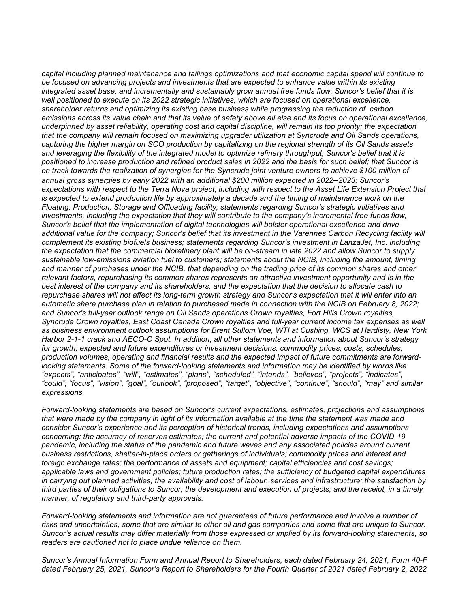capital including planned maintenance and tailings optimizations and that economic capital spend will continue to be focused on advancing projects and investments that are expected to enhance value within its existing integrated asset base, and incrementally and sustainably grow annual free funds flow; Suncor's belief that it is well positioned to execute on its 2022 strategic initiatives, which are focused on operational excellence, shareholder returns and optimizing its existing base business while progressing the reduction of carbon emissions across its value chain and that its value of safety above all else and its focus on operational excellence, underpinned by asset reliability, operating cost and capital discipline, will remain its top priority; the expectation that the company will remain focused on maximizing upgrader utilization at Syncrude and Oil Sands operations, capturing the higher margin on SCO production by capitalizing on the regional strength of its Oil Sands assets and leveraging the flexibility of the integrated model to optimize refinery throughput; Suncor's belief that it is positioned to increase production and refined product sales in 2022 and the basis for such belief; that Suncor is on track towards the realization of synergies for the Syncrude joint venture owners to achieve \$100 million of annual gross synergies by early 2022 with an additional \$200 million expected in 2022–2023; Suncor's expectations with respect to the Terra Nova project, including with respect to the Asset Life Extension Project that is expected to extend production life by approximately a decade and the timing of maintenance work on the Floating, Production, Storage and Offloading facility; statements regarding Suncor's strategic initiatives and investments, including the expectation that they will contribute to the company's incremental free funds flow, Suncor's belief that the implementation of digital technologies will bolster operational excellence and drive additional value for the company; Suncor's belief that its investment in the Varennes Carbon Recycling facility will complement its existing biofuels business; statements regarding Suncor's investment in LanzaJet, Inc. including the expectation that the commercial biorefinery plant will be on-stream in late 2022 and allow Suncor to supply sustainable low-emissions aviation fuel to customers; statements about the NCIB, including the amount, timing and manner of purchases under the NCIB, that depending on the trading price of its common shares and other relevant factors, repurchasing its common shares represents an attractive investment opportunity and is in the best interest of the company and its shareholders, and the expectation that the decision to allocate cash to repurchase shares will not affect its long-term growth strategy and Suncor's expectation that it will enter into an automatic share purchase plan in relation to purchased made in connection with the NCIB on February 8, 2022; and Suncor's full-year outlook range on Oil Sands operations Crown royalties, Fort Hills Crown royalties, Syncrude Crown royalties, East Coast Canada Crown royalties and full-year current income tax expenses as well as business environment outlook assumptions for Brent Sullom Voe, WTI at Cushing, WCS at Hardisty, New York Harbor 2-1-1 crack and AECO-C Spot. In addition, all other statements and information about Suncor's strategy for growth, expected and future expenditures or investment decisions, commodity prices, costs, schedules, production volumes, operating and financial results and the expected impact of future commitments are forward- looking statements. Some of the forward-looking statements and information may be identified by words like "expects", "anticipates", "will", "estimates", "plans", "scheduled", "intends", "believes", "projects", "indicates", "could", "focus", "vision", "goal", "outlook", "proposed", "target", "objective", "continue", "should", "may" and similar expressions.

 Forward-looking statements are based on Suncor's current expectations, estimates, projections and assumptions that were made by the company in light of its information available at the time the statement was made and consider Suncor's experience and its perception of historical trends, including expectations and assumptions concerning: the accuracy of reserves estimates; the current and potential adverse impacts of the COVID-19 pandemic, including the status of the pandemic and future waves and any associated policies around current business restrictions, shelter-in-place orders or gatherings of individuals; commodity prices and interest and foreign exchange rates; the performance of assets and equipment; capital efficiencies and cost savings; applicable laws and government policies; future production rates; the sufficiency of budgeted capital expenditures in carrying out planned activities; the availability and cost of labour, services and infrastructure; the satisfaction by third parties of their obligations to Suncor; the development and execution of projects; and the receipt, in a timely manner, of regulatory and third-party approvals.

 Forward-looking statements and information are not guarantees of future performance and involve a number of risks and uncertainties, some that are similar to other oil and gas companies and some that are unique to Suncor. Suncor's actual results may differ materially from those expressed or implied by its forward-looking statements, so readers are cautioned not to place undue reliance on them.

 Suncor's Annual Information Form and Annual Report to Shareholders, each dated February 24, 2021, Form 40-F dated February 25, 2021, Suncor's Report to Shareholders for the Fourth Quarter of 2021 dated February 2, 2022